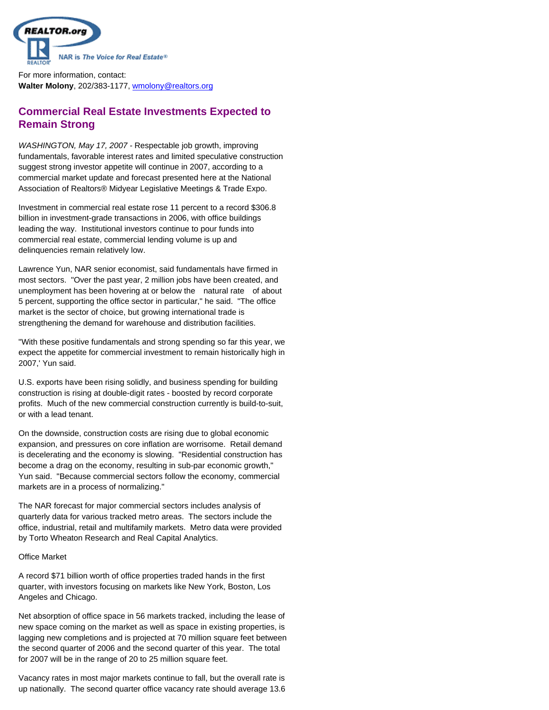

For more information, contact: **Walter Molony**, 202/383-1177, wmolony@realtors.org

# **Commercial Real Estate Investments Expected to Remain Strong**

*WASHINGTON, May 17, 2007 -*  Respectable job growth, improving fundamentals, favorable interest rates and limited speculative construction suggest strong investor appetite will continue in 2007, according to a commercial market update and forecast presented here at the National Association of Realtors® Midyear Legislative Meetings & Trade Expo.

Investment in commercial real estate rose 11 percent to a record \$306.8 billion in investment-grade transactions in 2006, with office buildings leading the way. Institutional investors continue to pour funds into commercial real estate, commercial lending volume is up and delinquencies remain relatively low.

Lawrence Yun, NAR senior economist, said fundamentals have firmed in most sectors. "Over the past year, 2 million jobs have been created, and unemployment has been hovering at or below the natural rate of about 5 percent, supporting the office sector in particular," he said. "The office market is the sector of choice, but growing international trade is strengthening the demand for warehouse and distribution facilities.

"With these positive fundamentals and strong spending so far this year, we expect the appetite for commercial investment to remain historically high in 2007,' Yun said.

U.S. exports have been rising solidly, and business spending for building construction is rising at double-digit rates - boosted by record corporate profits. Much of the new commercial construction currently is build-to-suit, or with a lead tenant.

On the downside, construction costs are rising due to global economic expansion, and pressures on core inflation are worrisome. Retail demand is decelerating and the economy is slowing. "Residential construction has become a drag on the economy, resulting in sub-par economic growth," Yun said. "Because commercial sectors follow the economy, commercial markets are in a process of normalizing."

The NAR forecast for major commercial sectors includes analysis of quarterly data for various tracked metro areas. The sectors include the office, industrial, retail and multifamily markets. Metro data were provided by Torto Wheaton Research and Real Capital Analytics.

# Office Market

A record \$71 billion worth of office properties traded hands in the first quarter, with investors focusing on markets like New York, Boston, Los Angeles and Chicago.

Net absorption of office space in 56 markets tracked, including the lease of new space coming on the market as well as space in existing properties, is lagging new completions and is projected at 70 million square feet between the second quarter of 2006 and the second quarter of this year. The total for 2007 will be in the range of 20 to 25 million square feet.

Vacancy rates in most major markets continue to fall, but the overall rate is up nationally. The second quarter office vacancy rate should average 13.6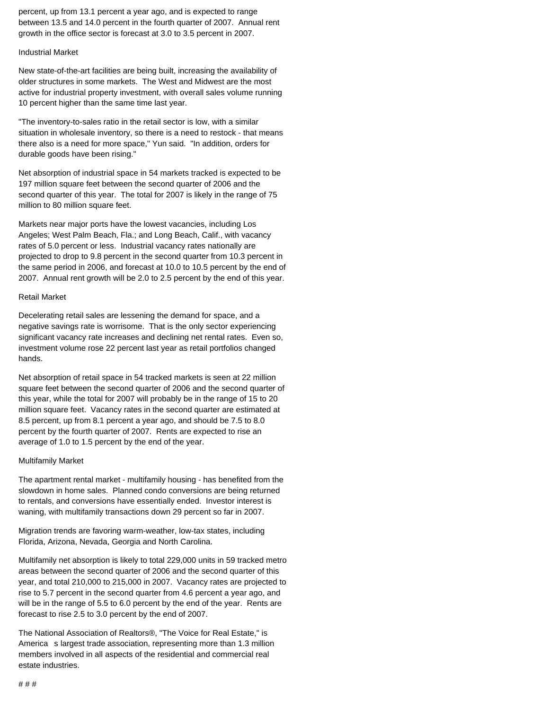percent, up from 13.1 percent a year ago, and is expected to range between 13.5 and 14.0 percent in the fourth quarter of 2007. Annual rent growth in the office sector is forecast at 3.0 to 3.5 percent in 2007.

#### Industrial Market

New state-of-the-art facilities are being built, increasing the availability of older structures in some markets. The West and Midwest are the most active for industrial property investment, with overall sales volume running 10 percent higher than the same time last year.

"The inventory-to-sales ratio in the retail sector is low, with a similar situation in wholesale inventory, so there is a need to restock - that means there also is a need for more space," Yun said. "In addition, orders for durable goods have been rising."

Net absorption of industrial space in 54 markets tracked is expected to be 197 million square feet between the second quarter of 2006 and the second quarter of this year. The total for 2007 is likely in the range of 75 million to 80 million square feet.

Markets near major ports have the lowest vacancies, including Los Angeles; West Palm Beach, Fla.; and Long Beach, Calif., with vacancy rates of 5.0 percent or less. Industrial vacancy rates nationally are projected to drop to 9.8 percent in the second quarter from 10.3 percent in the same period in 2006, and forecast at 10.0 to 10.5 percent by the end of 2007. Annual rent growth will be 2.0 to 2.5 percent by the end of this year.

## Retail Market

Decelerating retail sales are lessening the demand for space, and a negative savings rate is worrisome. That is the only sector experiencing significant vacancy rate increases and declining net rental rates. Even so, investment volume rose 22 percent last year as retail portfolios changed hands.

Net absorption of retail space in 54 tracked markets is seen at 22 million square feet between the second quarter of 2006 and the second quarter of this year, while the total for 2007 will probably be in the range of 15 to 20 million square feet. Vacancy rates in the second quarter are estimated at 8.5 percent, up from 8.1 percent a year ago, and should be 7.5 to 8.0 percent by the fourth quarter of 2007. Rents are expected to rise an average of 1.0 to 1.5 percent by the end of the year.

## Multifamily Market

The apartment rental market - multifamily housing - has benefited from the slowdown in home sales. Planned condo conversions are being returned to rentals, and conversions have essentially ended. Investor interest is waning, with multifamily transactions down 29 percent so far in 2007.

Migration trends are favoring warm-weather, low-tax states, including Florida, Arizona, Nevada, Georgia and North Carolina.

Multifamily net absorption is likely to total 229,000 units in 59 tracked metro areas between the second quarter of 2006 and the second quarter of this year, and total 210,000 to 215,000 in 2007. Vacancy rates are projected to rise to 5.7 percent in the second quarter from 4.6 percent a year ago, and will be in the range of 5.5 to 6.0 percent by the end of the year. Rents are forecast to rise 2.5 to 3.0 percent by the end of 2007.

The National Association of Realtors®, "The Voice for Real Estate," is America s largest trade association, representing more than 1.3 million members involved in all aspects of the residential and commercial real estate industries.